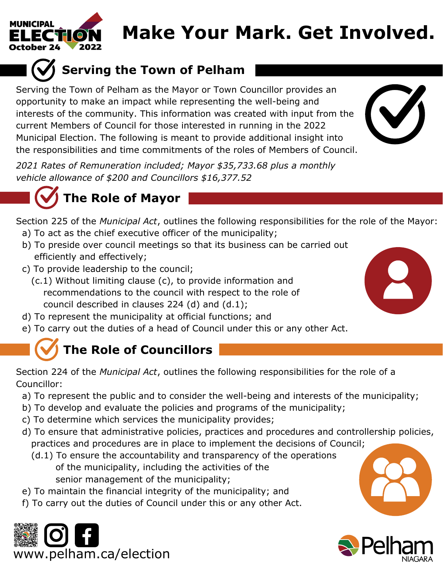

# **Make Your Mark. Get Involved.**



Serving the Town of Pelham as the Mayor or Town Councillor provides an opportunity to make an impact while representing the well-being and interests of the community. This information was created with input from the current Members of Council for those interested in running in the 2022 Municipal Election. The following is meant to provide additional insight into the responsibilities and time commitments of the roles of Members of Council.

*2021 Rates of Remuneration included; Mayor \$35,733.68 plus a monthly vehicle allowance of \$200 and Councillors \$16,377.52*





Section 225 of the *Municipal Act*, outlines the following responsibilities for the role of the Mayor:

- a) To act as the chief executive officer of the municipality;
- b) To preside over council meetings so that its business can be carried out efficiently and effectively;
- c) To provide leadership to the council;
	- (c.1) Without limiting clause (c), to provide information and recommendations to the council with respect to the role of council described in clauses 224 (d) and (d.1);
- d) To represent the municipality at official functions; and
- e) To carry out the duties of a head of Council under this or any other Act.

## **The Role of Councillors**

Section 224 of the *Municipal Act*, outlines the following responsibilities for the role of a Councillor:

- a) To represent the public and to consider the well-being and interests of the municipality;
- b) To develop and evaluate the policies and programs of the municipality;
- c) To determine which services the municipality provides;
- d) To ensure that administrative policies, practices and procedures and controllership policies, practices and procedures are in place to implement the decisions of Council;
	- (d.1) To ensure the accountability and transparency of the operations of the municipality, including the activities of the senior management of the municipality;
- e) To maintain the financial integrity of the municipality; and
- f) To carry out the duties of Council under this or any other Act.